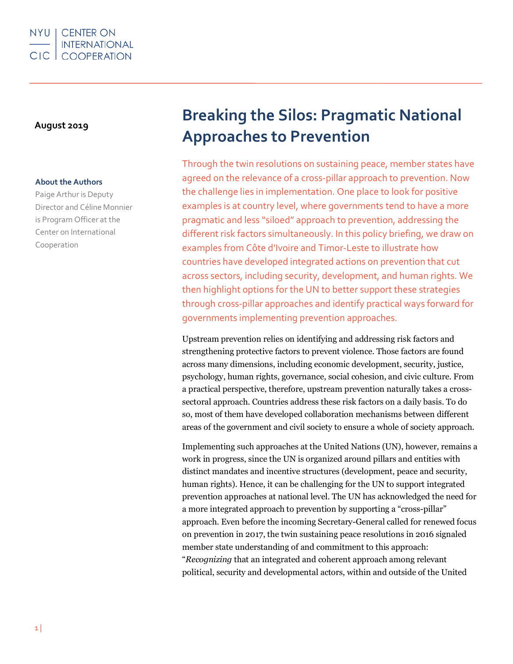

#### **About the Authors**

Paige Arthur is Deputy Director and Céline Monnier is Program Officer at the Center on International Cooperation

# **August <sup>2019</sup> Breaking the Silos: Pragmatic National Approaches to Prevention**

Through the twin resolutions on sustaining peace, member states have agreed on the relevance of a cross-pillar approach to prevention. Now the challenge lies in implementation. One place to look for positive examples is at country level, where governments tend to have a more pragmatic and less "siloed" approach to prevention, addressing the different risk factors simultaneously. In this policy briefing, we draw on examples from Côte d'Ivoire and Timor-Leste to illustrate how countries have developed integrated actions on prevention that cut across sectors, including security, development, and human rights. We then highlight options for the UN to better support these strategies through cross-pillar approaches and identify practical ways forward for governments implementing prevention approaches.

Upstream prevention relies on identifying and addressing risk factors and strengthening protective factors to prevent violence. Those factors are found across many dimensions, including economic development, security, justice, psychology, human rights, governance, social cohesion, and civic culture. From a practical perspective, therefore, upstream prevention naturally takes a crosssectoral approach. Countries address these risk factors on a daily basis. To do so, most of them have developed collaboration mechanisms between different areas of the government and civil society to ensure a whole of society approach.

Implementing such approaches at the United Nations (UN), however, remains a work in progress, since the UN is organized around pillars and entities with distinct mandates and incentive structures (development, peace and security, human rights). Hence, it can be challenging for the UN to support integrated prevention approaches at national level. The UN has acknowledged the need for a more integrated approach to prevention by supporting a "cross-pillar" approach. Even before the incoming Secretary-General called for renewed focus on prevention in 2017, the twin sustaining peace resolutions in 2016 signaled member state understanding of and commitment to this approach: "*Recognizing* that an integrated and coherent approach among relevant political, security and developmental actors, within and outside of the United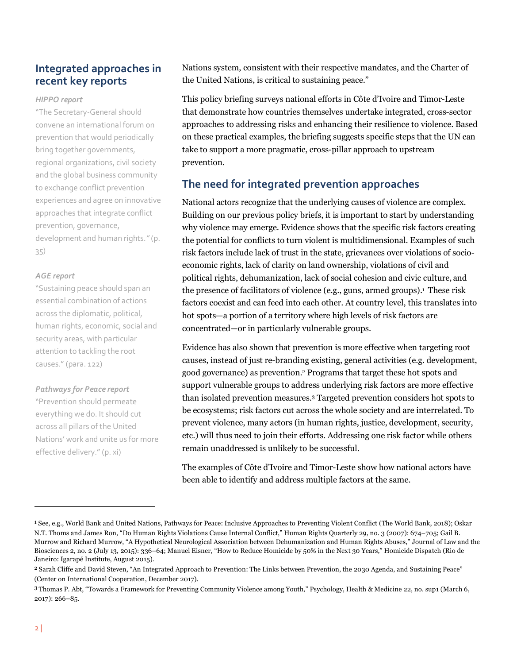# **Integrated approaches in recent key reports**

#### *HIPPO report*

"The Secretary-General should convene an international forum on prevention that would periodically bring together governments, regional organizations, civil society and the global business community to exchange conflict prevention experiences and agree on innovative approaches that integrate conflict prevention, governance, development and human rights.*"* (p. 35)

#### *AGE report*

"Sustaining peace should span an essential combination of actions across the diplomatic, political, human rights, economic, social and security areas, with particular attention to tackling the root causes." (para. 122)

#### *Pathways for Peace report*

"Prevention should permeate everything we do. It should cut across all pillars of the United Nations' work and unite us for more effective delivery." (p. xi)

Nations system, consistent with their respective mandates, and the Charter of the United Nations, is critical to sustaining peace."

This policy briefing surveys national efforts in Côte d'Ivoire and Timor-Leste that demonstrate how countries themselves undertake integrated, cross-sector approaches to addressing risks and enhancing their resilience to violence. Based on these practical examples, the briefing suggests specific steps that the UN can take to support a more pragmatic, cross-pillar approach to upstream prevention.

# **The need for integrated prevention approaches**

National actors recognize that the underlying causes of violence are complex. Building on our previous policy briefs, it is important to start by understanding why violence may emerge. Evidence shows that the specific risk factors creating the potential for conflicts to turn violent is multidimensional. Examples of such risk factors include lack of trust in the state, grievances over violations of socioeconomic rights, lack of clarity on land ownership, violations of civil and political rights, dehumanization, lack of social cohesion and civic culture, and the presence of facilitators of violence (e.g., guns, armed groups).<sup>1</sup> These risk factors coexist and can feed into each other. At country level, this translates into hot spots—a portion of a territory where high levels of risk factors are concentrated—or in particularly vulnerable groups.

Evidence has also shown that prevention is more effective when targeting root causes, instead of just re-branding existing, general activities (e.g. development, good governance) as prevention.2 Programs that target these hot spots and support vulnerable groups to address underlying risk factors are more effective than isolated prevention measures.3 Targeted prevention considers hot spots to be ecosystems; risk factors cut across the whole society and are interrelated. To prevent violence, many actors (in human rights, justice, development, security, etc.) will thus need to join their efforts. Addressing one risk factor while others remain unaddressed is unlikely to be successful.

The examples of Côte d'Ivoire and Timor-Leste show how national actors have been able to identify and address multiple factors at the same.

<sup>1</sup> See, e.g., World Bank and United Nations, Pathways for Peace: Inclusive Approaches to Preventing Violent Conflict (The World Bank, 2018); Oskar N.T. Thoms and James Ron, "Do Human Rights Violations Cause Internal Conflict," Human Rights Quarterly 29, no. 3 (2007): 674–705; Gail B. Murrow and Richard Murrow, "A Hypothetical Neurological Association between Dehumanization and Human Rights Abuses," Journal of Law and the Biosciences 2, no. 2 (July 13, 2015): 336–64; Manuel Eisner, "How to Reduce Homicide by 50% in the Next 30 Years," Homicide Dispatch (Rio de Janeiro: Igarapé Institute, August 2015).

<sup>2</sup> Sarah Cliffe and David Steven, "An Integrated Approach to Prevention: The Links between Prevention, the 2030 Agenda, and Sustaining Peace" (Center on International Cooperation, December 2017).

<sup>3</sup> Thomas P. Abt, "Towards a Framework for Preventing Community Violence among Youth," Psychology, Health & Medicine 22, no. sup1 (March 6, 2017): 266–85.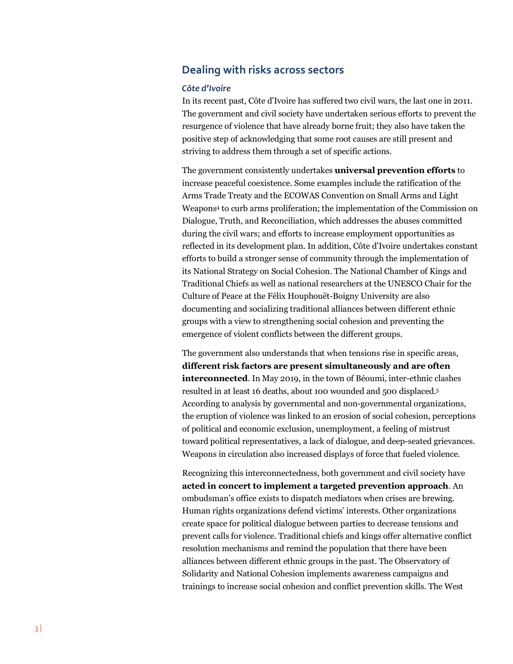# **Dealing with risks across sectors**

#### *Côte d'Ivoire*

In its recent past, Côte d'Ivoire has suffered two civil wars, the last one in 2011. The government and civil society have undertaken serious efforts to prevent the resurgence of violence that have already borne fruit; they also have taken the positive step of acknowledging that some root causes are still present and striving to address them through a set of specific actions.

The government consistently undertakes **universal prevention efforts** to increase peaceful coexistence. Some examples include the ratification of the Arms Trade Treaty and the ECOWAS Convention on Small Arms and Light Weapons4 to curb arms proliferation; the implementation of the Commission on Dialogue, Truth, and Reconciliation, which addresses the abuses committed during the civil wars; and efforts to increase employment opportunities as reflected in its development plan. In addition, Côte d'Ivoire undertakes constant efforts to build a stronger sense of community through the implementation of its National Strategy on Social Cohesion. The National Chamber of Kings and Traditional Chiefs as well as national researchers at the UNESCO Chair for the Culture of Peace at the Félix Houphouët-Boigny University are also documenting and socializing traditional alliances between different ethnic groups with a view to strengthening social cohesion and preventing the emergence of violent conflicts between the different groups.

The government also understands that when tensions rise in specific areas, **different risk factors are present simultaneously and are often interconnected**. In May 2019, in the town of Béoumi, inter-ethnic clashes resulted in at least 16 deaths, about 100 wounded and 500 displaced.5 According to analysis by governmental and non-governmental organizations, the eruption of violence was linked to an erosion of social cohesion, perceptions of political and economic exclusion, unemployment, a feeling of mistrust toward political representatives, a lack of dialogue, and deep-seated grievances. Weapons in circulation also increased displays of force that fueled violence.

Recognizing this interconnectedness, both government and civil society have **acted in concert to implement a targeted prevention approach**. An ombudsman's office exists to dispatch mediators when crises are brewing. Human rights organizations defend victims' interests. Other organizations create space for political dialogue between parties to decrease tensions and prevent calls for violence. Traditional chiefs and kings offer alternative conflict resolution mechanisms and remind the population that there have been alliances between different ethnic groups in the past. The Observatory of Solidarity and National Cohesion implements awareness campaigns and trainings to increase social cohesion and conflict prevention skills. The West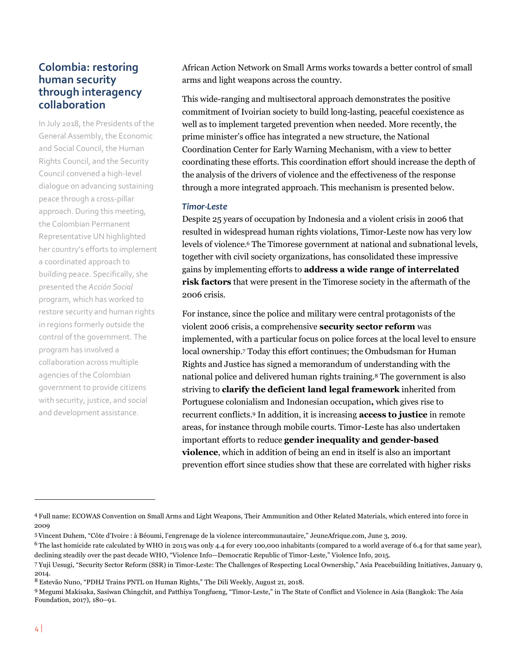# **Colombia: restoring human security through interagency collaboration**

In July 2018, the Presidents of the General Assembly, the Economic and Social Council, the Human Rights Council, and the Security Council convened a high-level dialogue on advancing sustaining peace through a cross-pillar approach. During this meeting, the Colombian Permanent Representative UN highlighted her country's efforts to implement a coordinated approach to building peace. Specifically, she presented the *Acción Social* program, which has worked to restore security and human rights in regions formerly outside the control of the government. The program has involved a collaboration across multiple agencies of the Colombian government to provide citizens with security, justice, and social and development assistance.

African Action Network on Small Arms works towards a better control of small arms and light weapons across the country.

This wide-ranging and multisectoral approach demonstrates the positive commitment of Ivoirian society to build long-lasting, peaceful coexistence as well as to implement targeted prevention when needed. More recently, the prime minister's office has integrated a new structure, the National Coordination Center for Early Warning Mechanism, with a view to better coordinating these efforts. This coordination effort should increase the depth of the analysis of the drivers of violence and the effectiveness of the response through a more integrated approach. This mechanism is presented below.

#### *Timor-Leste*

Despite 25 years of occupation by Indonesia and a violent crisis in 2006 that resulted in widespread human rights violations, Timor-Leste now has very low levels of violence.6 The Timorese government at national and subnational levels, together with civil society organizations, has consolidated these impressive gains by implementing efforts to **address a wide range of interrelated risk factors** that were present in the Timorese society in the aftermath of the 2006 crisis.

For instance, since the police and military were central protagonists of the violent 2006 crisis, a comprehensive **security sector reform** was implemented, with a particular focus on police forces at the local level to ensure local ownership.7 Today this effort continues; the Ombudsman for Human Rights and Justice has signed a memorandum of understanding with the national police and delivered human rights training.8 The government is also striving to **clarify the deficient land legal framework** inherited from Portuguese colonialism and Indonesian occupation**,** which gives rise to recurrent conflicts.9 In addition, it is increasing **access to justice** in remote areas, for instance through mobile courts. Timor-Leste has also undertaken important efforts to reduce **gender inequality and gender-based violence**, which in addition of being an end in itself is also an important prevention effort since studies show that these are correlated with higher risks

<sup>4</sup> Full name: ECOWAS Convention on Small Arms and Light Weapons, Their Ammunition and Other Related Materials, which entered into force in 2009

<sup>5</sup>Vincent Duhem, "Côte d'Ivoire : à Béoumi, l'engrenage de la violence intercommunautaire," JeuneAfrique.com, June 3, 2019.

<sup>&</sup>lt;sup>6</sup> The last homicide rate calculated by WHO in 2015 was only 4.4 for every 100,000 inhabitants (compared to a world average of 6.4 for that same year), declining steadily over the past decade WHO, "Violence Info—Democratic Republic of Timor-Leste," Violence Info, 2015.

<sup>7</sup> Yuji Uesugi, "Security Sector Reform (SSR) in Timor-Leste: The Challenges of Respecting Local Ownership," Asia Peacebuilding Initiatives, January 9, 2014.

<sup>8</sup> Estevão Nuno, "PDHJ Trains PNTL on Human Rights," The Dili Weekly, August 21, 2018.

<sup>9</sup> Megumi Makisaka, Sasiwan Chingchit, and Patthiya Tongfueng, "Timor-Leste," in The State of Conflict and Violence in Asia (Bangkok: The Asia Foundation, 2017), 180–91.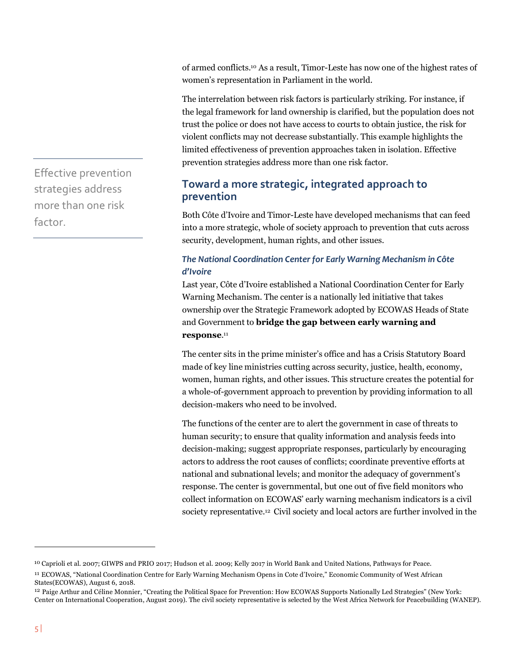of armed conflicts. <sup>10</sup> As a result, Timor-Leste has now one of the highest rates of women's representation in Parliament in the world.

The interrelation between risk factors is particularly striking. For instance, if the legal framework for land ownership is clarified, but the population does not trust the police or does not have access to courts to obtain justice, the risk for violent conflicts may not decrease substantially. This example highlights the limited effectiveness of prevention approaches taken in isolation. Effective prevention strategies address more than one risk factor.

# **Toward a more strategic, integrated approach to prevention**

Both Côte d'Ivoire and Timor-Leste have developed mechanisms that can feed into a more strategic, whole of society approach to prevention that cuts across security, development, human rights, and other issues.

## *The National Coordination Center for Early Warning Mechanism in Côte d'Ivoire*

Last year, Côte d'Ivoire established a National Coordination Center for Early Warning Mechanism. The center is a nationally led initiative that takes ownership over the Strategic Framework adopted by ECOWAS Heads of State and Government to **bridge the gap between early warning and response**.11

The center sits in the prime minister's office and has a Crisis Statutory Board made of key line ministries cutting across security, justice, health, economy, women, human rights, and other issues. This structure creates the potential for a whole-of-government approach to prevention by providing information to all decision-makers who need to be involved.

The functions of the center are to alert the government in case of threats to human security; to ensure that quality information and analysis feeds into decision-making; suggest appropriate responses, particularly by encouraging actors to address the root causes of conflicts; coordinate preventive efforts at national and subnational levels; and monitor the adequacy of government's response. The center is governmental, but one out of five field monitors who collect information on ECOWAS' early warning mechanism indicators is a civil society representative.12 Civil society and local actors are further involved in the

Effective prevention strategies address more than one risk factor.

<sup>10</sup> Caprioli et al. 2007; GIWPS and PRIO 2017; Hudson et al. 2009; Kelly 2017 in World Bank and United Nations, Pathways for Peace.

<sup>11</sup> ECOWAS, "National Coordination Centre for Early Warning Mechanism Opens in Cote d'Ivoire," Economic Community of West African States(ECOWAS), August 6, 2018.

<sup>12</sup> Paige Arthur and Céline Monnier, "Creating the Political Space for Prevention: How ECOWAS Supports Nationally Led Strategies" (New York: Center on International Cooperation, August 2019). The civil society representative is selected by the West Africa Network for Peacebuilding (WANEP).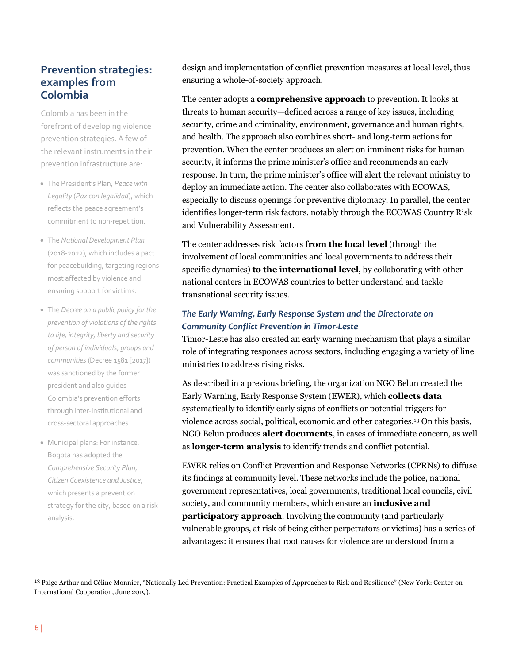# **Prevention strategies: examples from Colombia**

Colombia has been in the forefront of developing violence prevention strategies. A few of the relevant instruments in their prevention infrastructure are:

- The President's Plan, *Peace with Legality* (*Paz con legalidad*), which reflects the peace agreement's commitment to non-repetition.
- The *National Development Plan* (2018-2022), which includes a pact for peacebuilding, targeting regions most affected by violence and ensuring support for victims.
- The *Decree on a public policy for the prevention of violations of the rights to life, integrity, liberty and security of person of individuals, groups and communities* (Decree 1581 [2017]) was sanctioned by the former president and also guides Colombia's prevention efforts through inter-institutional and cross-sectoral approaches.
- Municipal plans: For instance, Bogotá has adopted the *Comprehensive Security Plan, Citizen Coexistence and Justice*, which presents a prevention strategy for the city, based on a risk analysis.

design and implementation of conflict prevention measures at local level, thus ensuring a whole-of-society approach.

The center adopts a **comprehensive approach** to prevention. It looks at threats to human security—defined across a range of key issues, including security, crime and criminality, environment, governance and human rights, and health. The approach also combines short- and long-term actions for prevention. When the center produces an alert on imminent risks for human security, it informs the prime minister's office and recommends an early response. In turn, the prime minister's office will alert the relevant ministry to deploy an immediate action. The center also collaborates with ECOWAS, especially to discuss openings for preventive diplomacy. In parallel, the center identifies longer-term risk factors, notably through the ECOWAS Country Risk and Vulnerability Assessment.

The center addresses risk factors **from the local level** (through the involvement of local communities and local governments to address their specific dynamics) **to the international level**, by collaborating with other national centers in ECOWAS countries to better understand and tackle transnational security issues.

# *The Early Warning, Early Response System and the Directorate on Community Conflict Prevention in Timor-Leste*

Timor-Leste has also created an early warning mechanism that plays a similar role of integrating responses across sectors, including engaging a variety of line ministries to address rising risks.

As described in a previous briefing, the organization NGO Belun created the Early Warning, Early Response System (EWER), which **collects data** systematically to identify early signs of conflicts or potential triggers for violence across social, political, economic and other categories.13 On this basis, NGO Belun produces **alert documents**, in cases of immediate concern, as well as **longer-term analysis** to identify trends and conflict potential.

EWER relies on Conflict Prevention and Response Networks (CPRNs) to diffuse its findings at community level. These networks include the police, national government representatives, local governments, traditional local councils, civil society, and community members, which ensure an **inclusive and participatory approach**. Involving the community (and particularly vulnerable groups, at risk of being either perpetrators or victims) has a series of advantages: it ensures that root causes for violence are understood from a

<sup>13</sup> Paige Arthur and Céline Monnier, "Nationally Led Prevention: Practical Examples of Approaches to Risk and Resilience" (New York: Center on International Cooperation, June 2019).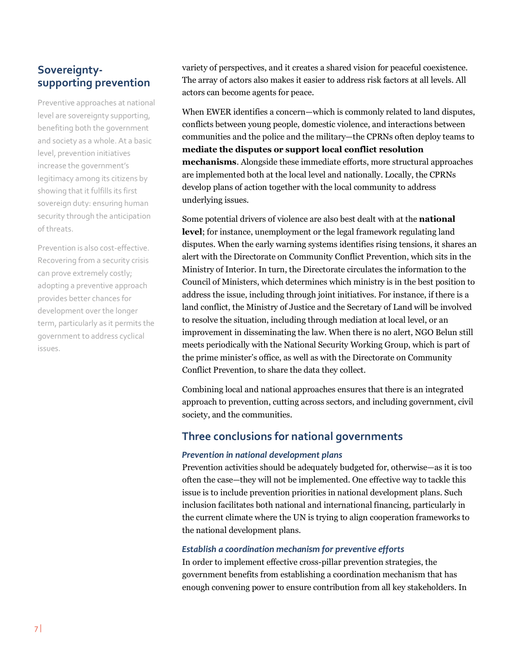# **Sovereigntysupporting prevention**

Preventive approaches at national level are sovereignty supporting, benefiting both the government and society as a whole. At a basic level, prevention initiatives increase the government's legitimacy among its citizens by showing that it fulfills its first sovereign duty: ensuring human security through the anticipation of threats.

Prevention is also cost-effective. Recovering from a security crisis can prove extremely costly; adopting a preventive approach provides better chances for development over the longer term, particularly as it permits the government to address cyclical issues.

variety of perspectives, and it creates a shared vision for peaceful coexistence. The array of actors also makes it easier to address risk factors at all levels. All actors can become agents for peace.

When EWER identifies a concern—which is commonly related to land disputes, conflicts between young people, domestic violence, and interactions between communities and the police and the military—the CPRNs often deploy teams to **mediate the disputes or support local conflict resolution mechanisms**. Alongside these immediate efforts, more structural approaches are implemented both at the local level and nationally. Locally, the CPRNs develop plans of action together with the local community to address underlying issues.

Some potential drivers of violence are also best dealt with at the **national level**; for instance, unemployment or the legal framework regulating land disputes. When the early warning systems identifies rising tensions, it shares an alert with the Directorate on Community Conflict Prevention, which sits in the Ministry of Interior. In turn, the Directorate circulates the information to the Council of Ministers, which determines which ministry is in the best position to address the issue, including through joint initiatives. For instance, if there is a land conflict, the Ministry of Justice and the Secretary of Land will be involved to resolve the situation, including through mediation at local level, or an improvement in disseminating the law. When there is no alert, NGO Belun still meets periodically with the National Security Working Group, which is part of the prime minister's office, as well as with the Directorate on Community Conflict Prevention, to share the data they collect.

Combining local and national approaches ensures that there is an integrated approach to prevention, cutting across sectors, and including government, civil society, and the communities.

# **Three conclusions for national governments**

#### *Prevention in national development plans*

Prevention activities should be adequately budgeted for, otherwise—as it is too often the case—they will not be implemented. One effective way to tackle this issue is to include prevention priorities in national development plans. Such inclusion facilitates both national and international financing, particularly in the current climate where the UN is trying to align cooperation frameworks to the national development plans.

#### *Establish a coordination mechanism for preventive efforts*

In order to implement effective cross-pillar prevention strategies, the government benefits from establishing a coordination mechanism that has enough convening power to ensure contribution from all key stakeholders. In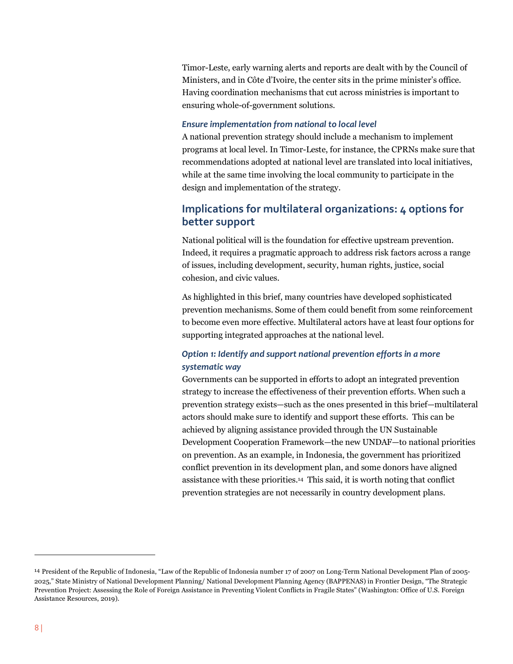Timor-Leste, early warning alerts and reports are dealt with by the Council of Ministers, and in Côte d'Ivoire, the center sits in the prime minister's office. Having coordination mechanisms that cut across ministries is important to ensuring whole-of-government solutions.

#### *Ensure implementation from national to local level*

A national prevention strategy should include a mechanism to implement programs at local level. In Timor-Leste, for instance, the CPRNs make sure that recommendations adopted at national level are translated into local initiatives, while at the same time involving the local community to participate in the design and implementation of the strategy.

# **Implications for multilateral organizations: 4 options for better support**

National political will is the foundation for effective upstream prevention. Indeed, it requires a pragmatic approach to address risk factors across a range of issues, including development, security, human rights, justice, social cohesion, and civic values.

As highlighted in this brief, many countries have developed sophisticated prevention mechanisms. Some of them could benefit from some reinforcement to become even more effective. Multilateral actors have at least four options for supporting integrated approaches at the national level.

## *Option 1: Identify and support national prevention efforts in a more systematic way*

Governments can be supported in efforts to adopt an integrated prevention strategy to increase the effectiveness of their prevention efforts. When such a prevention strategy exists—such as the ones presented in this brief—multilateral actors should make sure to identify and support these efforts. This can be achieved by aligning assistance provided through the UN Sustainable Development Cooperation Framework—the new UNDAF—to national priorities on prevention. As an example, in Indonesia, the government has prioritized conflict prevention in its development plan, and some donors have aligned assistance with these priorities.14 This said, it is worth noting that conflict prevention strategies are not necessarily in country development plans.

<sup>14</sup> President of the Republic of Indonesia, "Law of the Republic of Indonesia number 17 of 2007 on Long-Term National Development Plan of 2005- 2025," State Ministry of National Development Planning/ National Development Planning Agency (BAPPENAS) in Frontier Design, "The Strategic Prevention Project: Assessing the Role of Foreign Assistance in Preventing Violent Conflicts in Fragile States" (Washington: Office of U.S. Foreign Assistance Resources, 2019).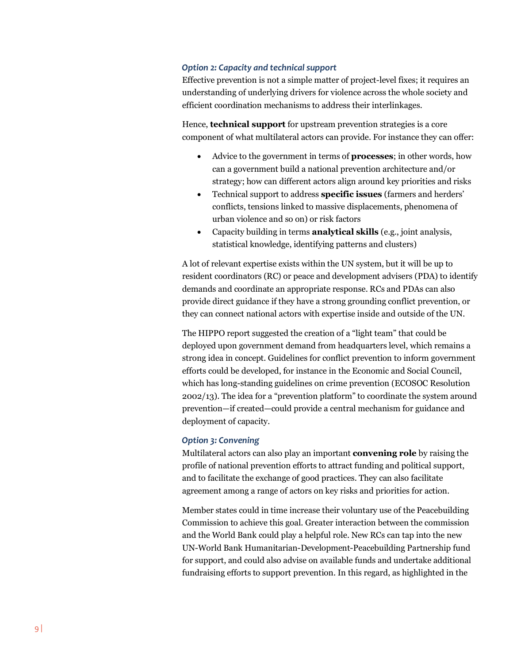#### *Option 2: Capacity and technical support*

Effective prevention is not a simple matter of project-level fixes; it requires an understanding of underlying drivers for violence across the whole society and efficient coordination mechanisms to address their interlinkages.

Hence, **technical support** for upstream prevention strategies is a core component of what multilateral actors can provide. For instance they can offer:

- Advice to the government in terms of **processes**; in other words, how can a government build a national prevention architecture and/or strategy; how can different actors align around key priorities and risks
- Technical support to address **specific issues** (farmers and herders' conflicts, tensions linked to massive displacements, phenomena of urban violence and so on) or risk factors
- Capacity building in terms **analytical skills** (e.g., joint analysis, statistical knowledge, identifying patterns and clusters)

A lot of relevant expertise exists within the UN system, but it will be up to resident coordinators (RC) or peace and development advisers (PDA) to identify demands and coordinate an appropriate response. RCs and PDAs can also provide direct guidance if they have a strong grounding conflict prevention, or they can connect national actors with expertise inside and outside of the UN.

The HIPPO report suggested the creation of a "light team" that could be deployed upon government demand from headquarters level, which remains a strong idea in concept. Guidelines for conflict prevention to inform government efforts could be developed, for instance in the Economic and Social Council, which has long-standing guidelines on crime prevention (ECOSOC Resolution 2002/13). The idea for a "prevention platform" to coordinate the system around prevention—if created—could provide a central mechanism for guidance and deployment of capacity.

#### *Option 3: Convening*

Multilateral actors can also play an important **convening role** by raising the profile of national prevention efforts to attract funding and political support, and to facilitate the exchange of good practices. They can also facilitate agreement among a range of actors on key risks and priorities for action.

Member states could in time increase their voluntary use of the Peacebuilding Commission to achieve this goal. Greater interaction between the commission and the World Bank could play a helpful role. New RCs can tap into the new UN-World Bank Humanitarian-Development-Peacebuilding Partnership fund for support, and could also advise on available funds and undertake additional fundraising efforts to support prevention. In this regard, as highlighted in the